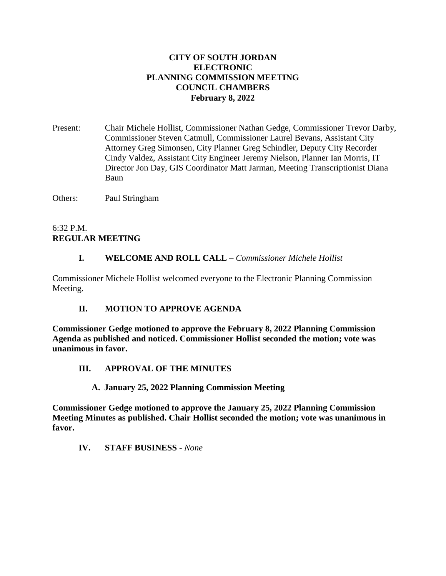### **CITY OF SOUTH JORDAN ELECTRONIC PLANNING COMMISSION MEETING COUNCIL CHAMBERS February 8, 2022**

Present: Chair Michele Hollist, Commissioner Nathan Gedge, Commissioner Trevor Darby, Commissioner Steven Catmull, Commissioner Laurel Bevans, Assistant City Attorney Greg Simonsen, City Planner Greg Schindler, Deputy City Recorder Cindy Valdez, Assistant City Engineer Jeremy Nielson, Planner Ian Morris, IT Director Jon Day, GIS Coordinator Matt Jarman, Meeting Transcriptionist Diana Baun

Others: Paul Stringham

## 6:32 P.M. **REGULAR MEETING**

## **I. WELCOME AND ROLL CALL** – *Commissioner Michele Hollist*

Commissioner Michele Hollist welcomed everyone to the Electronic Planning Commission Meeting.

## **II. MOTION TO APPROVE AGENDA**

**Commissioner Gedge motioned to approve the February 8, 2022 Planning Commission Agenda as published and noticed. Commissioner Hollist seconded the motion; vote was unanimous in favor.**

## **III. APPROVAL OF THE MINUTES**

#### **A. January 25, 2022 Planning Commission Meeting**

**Commissioner Gedge motioned to approve the January 25, 2022 Planning Commission Meeting Minutes as published. Chair Hollist seconded the motion; vote was unanimous in favor.**

**IV. STAFF BUSINESS** *- None*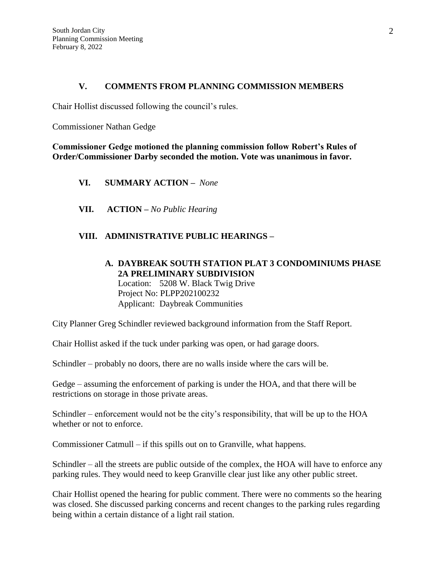#### **V. COMMENTS FROM PLANNING COMMISSION MEMBERS**

Chair Hollist discussed following the council's rules.

Commissioner Nathan Gedge

**Commissioner Gedge motioned the planning commission follow Robert's Rules of Order/Commissioner Darby seconded the motion. Vote was unanimous in favor.**

- **VI. SUMMARY ACTION –** *None*
- **VII. ACTION –** *No Public Hearing*

### **VIII. ADMINISTRATIVE PUBLIC HEARINGS –**

### **A. DAYBREAK SOUTH STATION PLAT 3 CONDOMINIUMS PHASE 2A PRELIMINARY SUBDIVISION** Location: 5208 W. Black Twig Drive Project No: PLPP202100232 Applicant: Daybreak Communities

City Planner Greg Schindler reviewed background information from the Staff Report.

Chair Hollist asked if the tuck under parking was open, or had garage doors.

Schindler – probably no doors, there are no walls inside where the cars will be.

Gedge – assuming the enforcement of parking is under the HOA, and that there will be restrictions on storage in those private areas.

Schindler – enforcement would not be the city's responsibility, that will be up to the HOA whether or not to enforce.

Commissioner Catmull – if this spills out on to Granville, what happens.

Schindler – all the streets are public outside of the complex, the HOA will have to enforce any parking rules. They would need to keep Granville clear just like any other public street.

Chair Hollist opened the hearing for public comment. There were no comments so the hearing was closed. She discussed parking concerns and recent changes to the parking rules regarding being within a certain distance of a light rail station.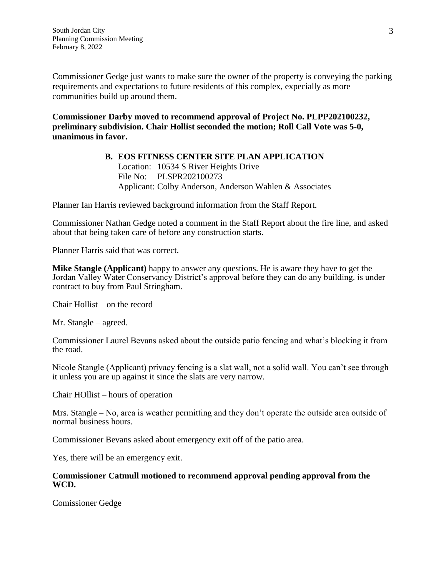Commissioner Gedge just wants to make sure the owner of the property is conveying the parking requirements and expectations to future residents of this complex, expecially as more communities build up around them.

**Commissioner Darby moved to recommend approval of Project No. PLPP202100232, preliminary subdivision. Chair Hollist seconded the motion; Roll Call Vote was 5-0, unanimous in favor.**

#### **B. EOS FITNESS CENTER SITE PLAN APPLICATION** Location: 10534 S River Heights Drive File No: PLSPR202100273 Applicant: Colby Anderson, Anderson Wahlen & Associates

Planner Ian Harris reviewed background information from the Staff Report.

Commissioner Nathan Gedge noted a comment in the Staff Report about the fire line, and asked about that being taken care of before any construction starts.

Planner Harris said that was correct.

**Mike Stangle (Applicant)** happy to answer any questions. He is aware they have to get the Jordan Valley Water Conservancy District's approval before they can do any building. is under contract to buy from Paul Stringham.

Chair Hollist – on the record

Mr. Stangle – agreed.

Commissioner Laurel Bevans asked about the outside patio fencing and what's blocking it from the road.

Nicole Stangle (Applicant) privacy fencing is a slat wall, not a solid wall. You can't see through it unless you are up against it since the slats are very narrow.

Chair HOllist – hours of operation

Mrs. Stangle – No, area is weather permitting and they don't operate the outside area outside of normal business hours.

Commissioner Bevans asked about emergency exit off of the patio area.

Yes, there will be an emergency exit.

#### **Commissioner Catmull motioned to recommend approval pending approval from the WCD.**

Comissioner Gedge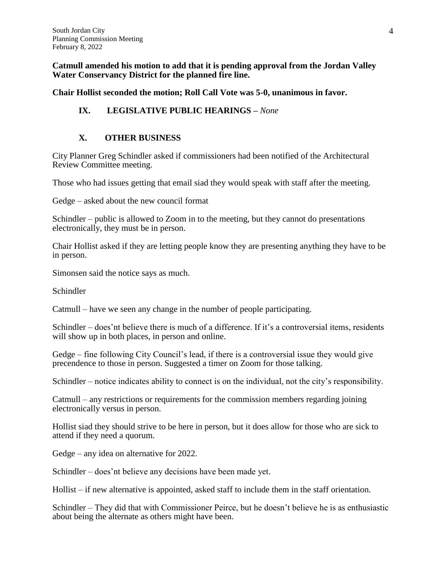**Catmull amended his motion to add that it is pending approval from the Jordan Valley Water Conservancy District for the planned fire line.**

**Chair Hollist seconded the motion; Roll Call Vote was 5-0, unanimous in favor.**

# **IX. LEGISLATIVE PUBLIC HEARINGS –** *None*

## **X. OTHER BUSINESS**

City Planner Greg Schindler asked if commissioners had been notified of the Architectural Review Committee meeting.

Those who had issues getting that email siad they would speak with staff after the meeting.

Gedge – asked about the new council format

Schindler – public is allowed to Zoom in to the meeting, but they cannot do presentations electronically, they must be in person.

Chair Hollist asked if they are letting people know they are presenting anything they have to be in person.

Simonsen said the notice says as much.

Schindler

Catmull – have we seen any change in the number of people participating.

Schindler – does'nt believe there is much of a difference. If it's a controversial items, residents will show up in both places, in person and online.

Gedge – fine following City Council's lead, if there is a controversial issue they would give precendence to those in person. Suggested a timer on Zoom for those talking.

Schindler – notice indicates ability to connect is on the individual, not the city's responsibility.

Catmull – any restrictions or requirements for the commission members regarding joining electronically versus in person.

Hollist siad they should strive to be here in person, but it does allow for those who are sick to attend if they need a quorum.

Gedge – any idea on alternative for 2022.

Schindler – does'nt believe any decisions have been made yet.

Hollist – if new alternative is appointed, asked staff to include them in the staff orientation.

Schindler – They did that with Commissioner Peirce, but he doesn't believe he is as enthusiastic about being the alternate as others might have been.